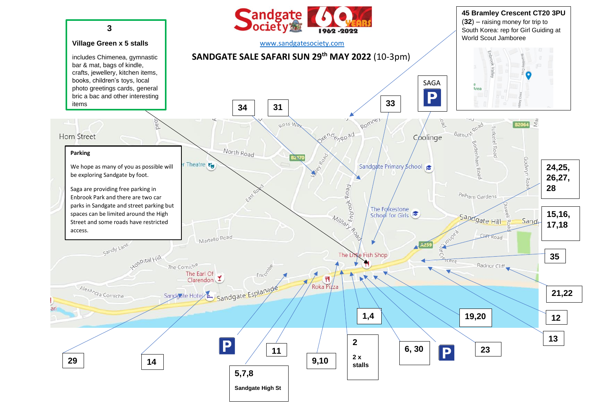